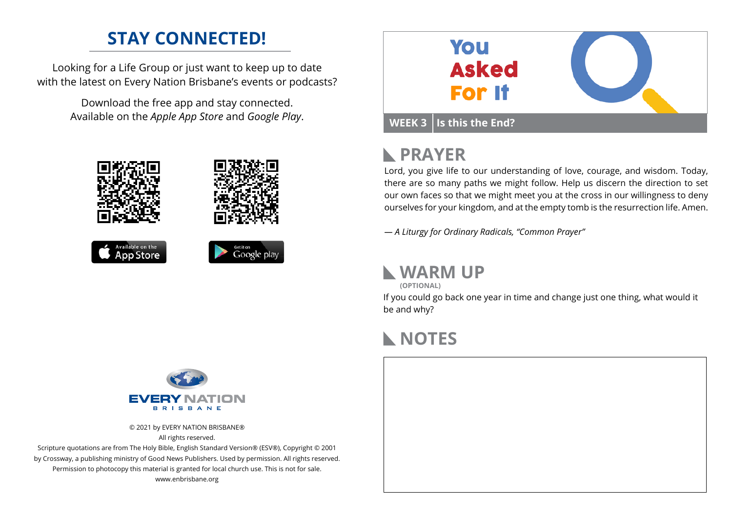### **STAY CONNECTED!**

Looking for a Life Group or just want to keep up to date with the latest on Every Nation Brisbane's events or podcasts?

> Download the free app and stay connected. Available on the *Apple App Store* and *Google Play*.





## **PRAYER**

Lord, you give life to our understanding of love, courage, and wisdom. Today, there are so many paths we might follow. Help us discern the direction to set our own faces so that we might meet you at the cross in our willingness to deny ourselves for your kingdom, and at the empty tomb is the resurrection life. Amen.

*— A Liturgy for Ordinary Radicals, "Common Prayer"*

### **WARM UP**

**(OPTIONAL)**

If you could go back one year in time and change just one thing, what would it be and why?

# **NOTES**





© 2021 by EVERY NATION BRISBANE® All rights reserved.

Scripture quotations are from The Holy Bible, English Standard Version® (ESV®), Copyright © 2001 by Crossway, a publishing ministry of Good News Publishers. Used by permission. All rights reserved. Permission to photocopy this material is granted for local church use. This is not for sale. www.enbrisbane.org